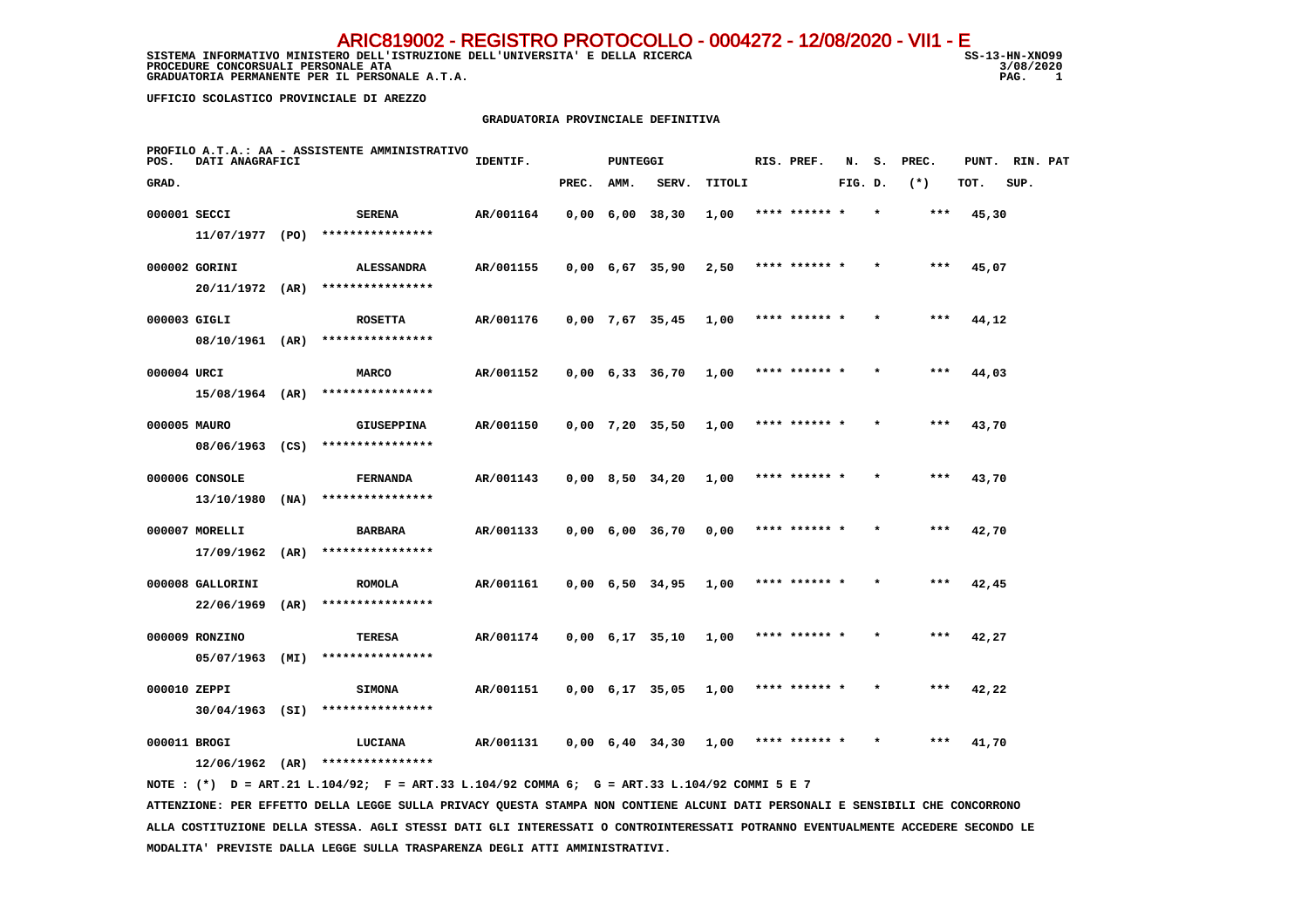SISTEMA INFORMATIVO MINISTERO DELL'ISTRUZIONE DELL'UNIVERSITA' E DELLA RICERCA STRUGIONE SS-13-HN-XNO99 **PROCEDURE CONCORSUALI PERSONALE ATA** 3/08/2021 3/08/2020 3/08/2020 3/08/2020 20:00 3/08/2020 20:00 20:00 20:00 3/08/2020 3/08/2020 3/08/2020 20:00 20:00 20:00 20:00 20:00 20:00 20:00 20:00 20:00 20:00 20:00 20:00 20:00 20  **GRADUATORIA PERMANENTE PER IL PERSONALE A.T.A.** 

3/08/2020  $\overline{1}$ 

 **UFFICIO SCOLASTICO PROVINCIALE DI AREZZO**

#### **GRADUATORIA PROVINCIALE DEFINITIVA**

| POS.         | DATI ANAGRAFICI   |      | PROFILO A.T.A.: AA - ASSISTENTE AMMINISTRATIVO                                              | IDENTIF.  |       | <b>PUNTEGGI</b> |                               |        | RIS. PREF.    | N.      | S. PREC. |       | PUNT. RIN. PAT |  |
|--------------|-------------------|------|---------------------------------------------------------------------------------------------|-----------|-------|-----------------|-------------------------------|--------|---------------|---------|----------|-------|----------------|--|
| GRAD.        |                   |      |                                                                                             |           | PREC. | AMM.            | SERV.                         | TITOLI |               | FIG. D. | $(*)$    | TOT.  | SUP.           |  |
| 000001 SECCI |                   |      | <b>SERENA</b>                                                                               | AR/001164 |       |                 | $0,00 \quad 6,00 \quad 38,30$ | 1,00   | **** ****** * |         | ***      | 45,30 |                |  |
|              | 11/07/1977 (PO)   |      | ****************                                                                            |           |       |                 |                               |        |               |         |          |       |                |  |
|              | 000002 GORINI     |      | <b>ALESSANDRA</b>                                                                           | AR/001155 |       |                 | $0,00 \quad 6,67 \quad 35,90$ | 2,50   | **** ****** * |         | ***      | 45,07 |                |  |
|              | $20/11/1972$ (AR) |      | ****************                                                                            |           |       |                 |                               |        |               |         |          |       |                |  |
| 000003 GIGLI |                   |      | <b>ROSETTA</b>                                                                              | AR/001176 |       |                 | 0,00 7,67 35,45               | 1,00   | **** ******   |         |          | 44,12 |                |  |
|              |                   |      | 08/10/1961 (AR) ****************                                                            |           |       |                 |                               |        |               |         |          |       |                |  |
| 000004 URCI  |                   |      | MARCO                                                                                       | AR/001152 |       |                 | 0,00 6,33 36,70               | 1,00   | **** ****** * |         | ***      | 44,03 |                |  |
|              |                   |      | $15/08/1964$ (AR) *****************                                                         |           |       |                 |                               |        |               |         |          |       |                |  |
| 000005 MAURO |                   |      | <b>GIUSEPPINA</b>                                                                           | AR/001150 |       |                 | $0,00$ 7,20 35,50             | 1,00   | **** ****** * |         | $***$    | 43,70 |                |  |
|              |                   |      | 08/06/1963 (CS) ****************                                                            |           |       |                 |                               |        |               |         |          |       |                |  |
|              | 000006 CONSOLE    |      | <b>FERNANDA</b>                                                                             | AR/001143 |       |                 | $0,00$ 8,50 34,20             | 1,00   | **** ****** * |         | ***      | 43,70 |                |  |
|              | $13/10/1980$ (NA) |      | ****************                                                                            |           |       |                 |                               |        |               |         |          |       |                |  |
|              | 000007 MORELLI    |      | <b>BARBARA</b>                                                                              | AR/001133 |       |                 | $0,00 \quad 6,00 \quad 36,70$ | 0,00   | **** ****** * |         | ***      | 42,70 |                |  |
|              | $17/09/1962$ (AR) |      | ****************                                                                            |           |       |                 |                               |        |               |         |          |       |                |  |
|              | 000008 GALLORINI  |      | <b>ROMOLA</b>                                                                               | AR/001161 |       |                 | 0,00 6,50 34,95               | 1,00   | **** ****** * |         | ***      | 42,45 |                |  |
|              | 22/06/1969        | (AR) | ****************                                                                            |           |       |                 |                               |        |               |         |          |       |                |  |
|              | 000009 RONZINO    |      | TERESA                                                                                      | AR/001174 |       |                 | $0,00 \quad 6,17 \quad 35,10$ | 1,00   | **** ****** * |         | ***      | 42,27 |                |  |
|              | 05/07/1963        | (MI) | ****************                                                                            |           |       |                 |                               |        |               |         |          |       |                |  |
| 000010 ZEPPI |                   |      | <b>SIMONA</b>                                                                               | AR/001151 |       |                 | $0,00$ 6,17 35,05             | 1,00   | **** ****** * |         | $***$    | 42,22 |                |  |
|              | $30/04/1963$ (SI) |      | ****************                                                                            |           |       |                 |                               |        |               |         |          |       |                |  |
| 000011 BROGI |                   |      | LUCIANA                                                                                     | AR/001131 |       |                 | 0,00 6,40 34,30               | 1,00   | **** ****** * |         | ***      | 41,70 |                |  |
|              |                   |      | $12/06/1962$ (AR) ****************                                                          |           |       |                 |                               |        |               |         |          |       |                |  |
|              |                   |      | NOTE: (*) D = ART.21 L.104/92; F = ART.33 L.104/92 COMMA 6; G = ART.33 L.104/92 COMMI 5 E 7 |           |       |                 |                               |        |               |         |          |       |                |  |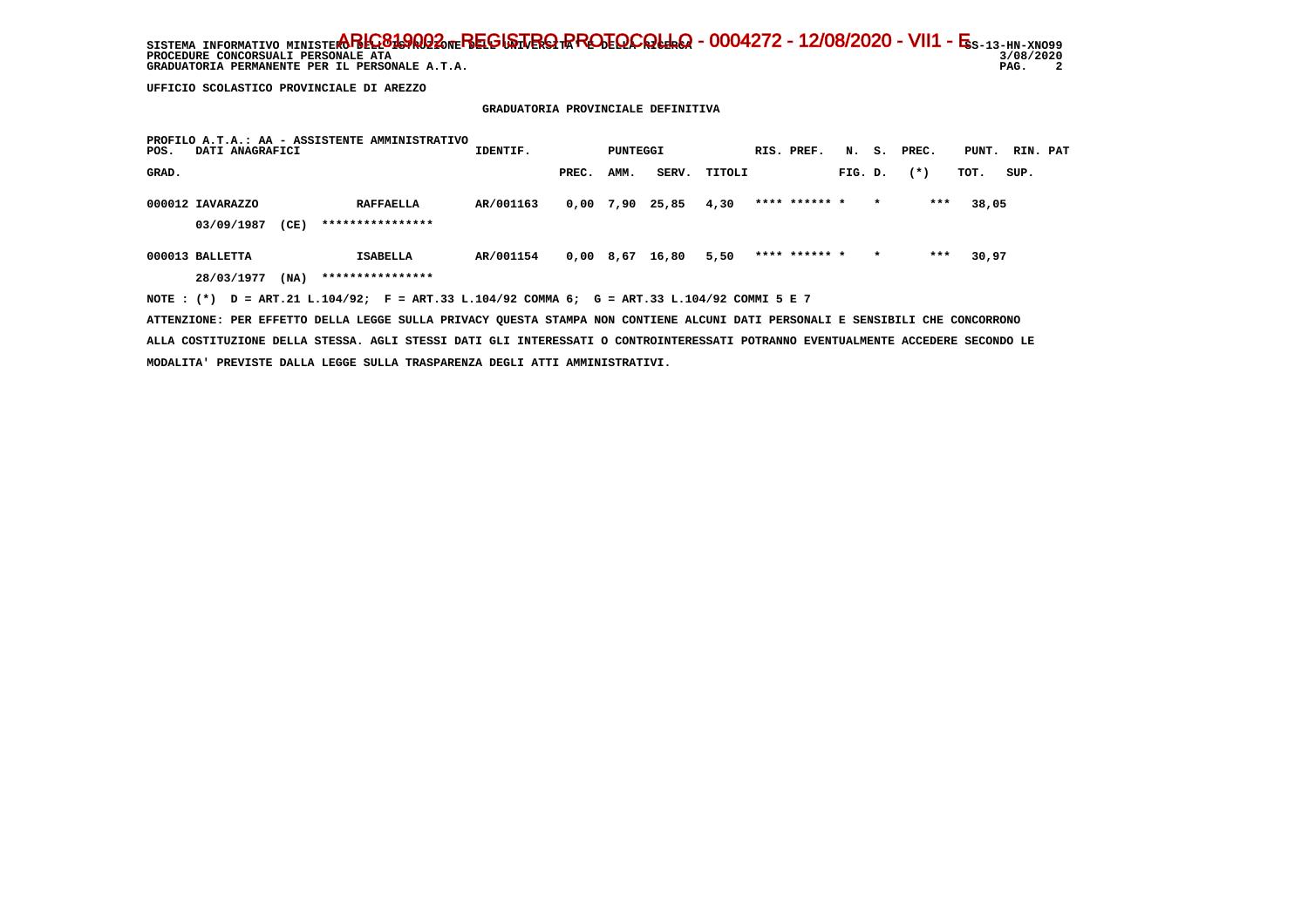SISTEMA INFORMATIVO MINISTERO BELGO DEL BEGISTRO RROTOCOLLO - 0004272 - 12/08/2020 - VII1 - E<sub>S-13-HN-XNO99</sub> 3/08/2020 PROCEDURE CONCORSUALI PERSONALE ATA<br> **BROCEDURE CONCORSUALI PERSONALE ATA** 3/08/<br>
GRADUATORIA PERMANENTE PER IL PERSONALE A.T.A.<br>
PAG.  $\overline{\phantom{a}}$ GRADUATORIA PERMANENTE PER IL PERSONALE A.T.A.

 **UFFICIO SCOLASTICO PROVINCIALE DI AREZZO**

 **GRADUATORIA PROVINCIALE DEFINITIVA**

| POS.  | DATI ANAGRAFICI  |      | PROFILO A.T.A.: AA - ASSISTENTE AMMINISTRATIVO                                              | IDENTIF.  |       | PUNTEGGI |                 |        | RIS. PREF.    |         |         | N. S. PREC. | PUNT. RIN. PAT |      |  |
|-------|------------------|------|---------------------------------------------------------------------------------------------|-----------|-------|----------|-----------------|--------|---------------|---------|---------|-------------|----------------|------|--|
| GRAD. |                  |      |                                                                                             |           | PREC. | AMM.     | SERV.           | TITOLI |               | FIG. D. |         | $(*)$       | TOT.           | SUP. |  |
|       | 000012 IAVARAZZO |      | <b>RAFFAELLA</b>                                                                            | AR/001163 | 0,00  | 7,90     | 25,85           | 4,30   | **** ****** * |         | $\star$ | ***         | 38,05          |      |  |
|       | 03/09/1987       | (CE) | ****************                                                                            |           |       |          |                 |        |               |         |         |             |                |      |  |
|       | 000013 BALLETTA  |      | <b>ISABELLA</b>                                                                             | AR/001154 |       |          | 0,00 8,67 16,80 | 5,50   | **** ****** * |         | $\star$ | ***         | 30,97          |      |  |
|       | 28/03/1977       | (NA) | ****************                                                                            |           |       |          |                 |        |               |         |         |             |                |      |  |
|       |                  |      | NOTE: (*) D = ART.21 L.104/92; F = ART.33 L.104/92 COMMA 6; G = ART.33 L.104/92 COMMI 5 E 7 |           |       |          |                 |        |               |         |         |             |                |      |  |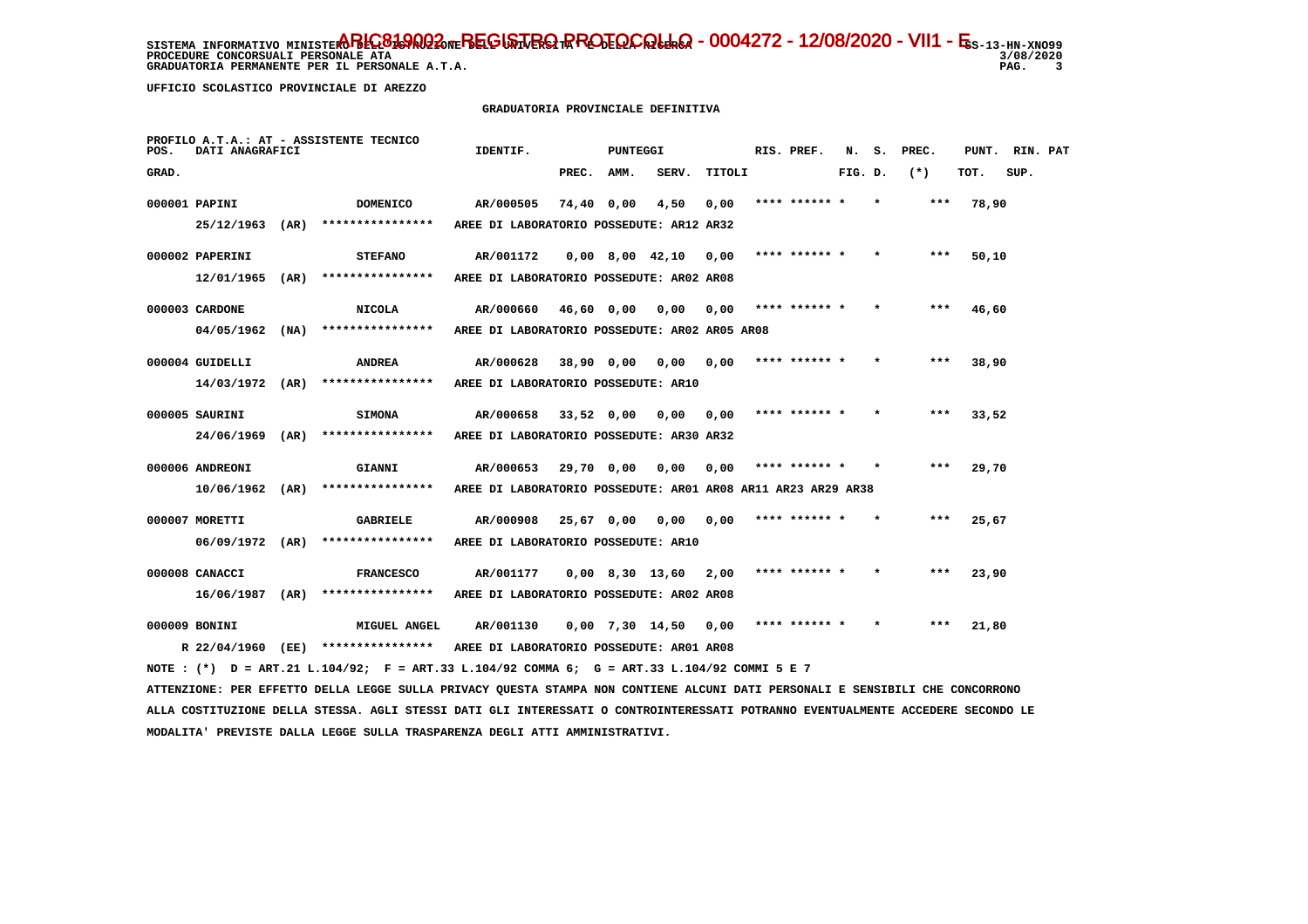**PROCEDURE CONCORSUALI PERSONALE ATA GRADUATORIA PERMANENTE PER IL PERSONALE A.T.A.** 

 **UFFICIO SCOLASTICO PROVINCIALE DI AREZZO**

# **GRADUATORIA PROVINCIALE DEFINITIVA**

| POS.  | DATI ANAGRAFICI   |      | PROFILO A.T.A.: AT - ASSISTENTE TECNICO                                                                                         | IDENTIF.                                                     |              | PUNTEGGI          |                   |        | RIS. PREF.    | N.      | s. | PREC.  | PUNT. | RIN. PAT |  |
|-------|-------------------|------|---------------------------------------------------------------------------------------------------------------------------------|--------------------------------------------------------------|--------------|-------------------|-------------------|--------|---------------|---------|----|--------|-------|----------|--|
| GRAD. |                   |      |                                                                                                                                 |                                                              | PREC.        | AMM.              | SERV.             | TITOLI |               | FIG. D. |    | $(* )$ | TOT.  | SUP.     |  |
|       | 000001 PAPINI     |      | <b>DOMENICO</b>                                                                                                                 | AR/000505                                                    | 74,40 0,00   |                   | 4,50              | 0,00   | **** ******   |         |    | ***    | 78,90 |          |  |
|       | 25/12/1963 (AR)   |      | ****************                                                                                                                | AREE DI LABORATORIO POSSEDUTE: AR12 AR32                     |              |                   |                   |        |               |         |    |        |       |          |  |
|       | 000002 PAPERINI   |      | <b>STEFANO</b>                                                                                                                  | AR/001172                                                    |              |                   | $0,00$ 8,00 42,10 | 0,00   | **** ****** * |         |    | $***$  | 50,10 |          |  |
|       | 12/01/1965        | (AR) | ****************                                                                                                                | AREE DI LABORATORIO POSSEDUTE: AR02 AR08                     |              |                   |                   |        |               |         |    |        |       |          |  |
|       | 000003 CARDONE    |      | <b>NICOLA</b>                                                                                                                   | AR/000660                                                    | 46,60 0,00   |                   | 0,00              | 0.00   | **** ****** * |         |    | ***    | 46,60 |          |  |
|       | 04/05/1962        | (NA) | ****************                                                                                                                | AREE DI LABORATORIO POSSEDUTE: AR02 AR05 AR08                |              |                   |                   |        |               |         |    |        |       |          |  |
|       | 000004 GUIDELLI   |      | <b>ANDREA</b>                                                                                                                   | AR/000628                                                    | 38,90 0,00   |                   | 0,00              | 0,00   | **** ****** * |         |    | ***    | 38,90 |          |  |
|       | 14/03/1972 (AR)   |      | ****************                                                                                                                | AREE DI LABORATORIO POSSEDUTE: AR10                          |              |                   |                   |        |               |         |    |        |       |          |  |
|       | 000005 SAURINI    |      | <b>SIMONA</b>                                                                                                                   | AR/000658                                                    | $33,52$ 0,00 |                   | 0.00              | 0.00   | **** ****** * |         |    | $***$  | 33,52 |          |  |
|       | 24/06/1969        | (AR) | ****************                                                                                                                | AREE DI LABORATORIO POSSEDUTE: AR30 AR32                     |              |                   |                   |        |               |         |    |        |       |          |  |
|       | 000006 ANDREONI   |      | GIANNI                                                                                                                          | AR/000653                                                    | 29,70 0,00   |                   | 0,00              | 0.00   | **** ****** * |         |    | ***    | 29,70 |          |  |
|       | $10/06/1962$ (AR) |      | ****************                                                                                                                | AREE DI LABORATORIO POSSEDUTE: AR01 AR08 AR11 AR23 AR29 AR38 |              |                   |                   |        |               |         |    |        |       |          |  |
|       | 000007 MORETTI    |      | <b>GABRIELE</b>                                                                                                                 | AR/000908                                                    | 25,67 0,00   |                   | 0.00              | 0.00   | **** ****** * |         |    | ***    | 25,67 |          |  |
|       | 06/09/1972 (AR)   |      | ****************                                                                                                                | AREE DI LABORATORIO POSSEDUTE: AR10                          |              |                   |                   |        |               |         |    |        |       |          |  |
|       | 000008 CANACCI    |      | <b>FRANCESCO</b>                                                                                                                | AR/001177                                                    |              | $0,00$ 8,30 13,60 |                   | 2,00   | **** ****** * |         |    | $***$  | 23,90 |          |  |
|       | 16/06/1987 (AR)   |      | ****************                                                                                                                | AREE DI LABORATORIO POSSEDUTE: AR02 AR08                     |              |                   |                   |        |               |         |    |        |       |          |  |
|       | 000009 BONINI     |      | <b>MIGUEL ANGEL</b>                                                                                                             | AR/001130                                                    |              | $0,00$ 7,30 14,50 |                   | 0,00   | **** ****** * |         |    | $***$  | 21,80 |          |  |
|       |                   |      | R 22/04/1960 (EE) *****************                                                                                             | AREE DI LABORATORIO POSSEDUTE: AR01 AR08                     |              |                   |                   |        |               |         |    |        |       |          |  |
|       |                   |      | NOTE : (*) D = ART.21 L.104/92; F = ART.33 L.104/92 COMMA 6; G = ART.33 L.104/92 COMMI 5 E 7                                    |                                                              |              |                   |                   |        |               |         |    |        |       |          |  |
|       |                   |      | ATTENZIONE: PER EFFETTO DELLA LEGGE SULLA PRIVACY QUESTA STAMPA NON CONTIENE ALCUNI DATI PERSONALI E SENSIBILI CHE CONCORRONO   |                                                              |              |                   |                   |        |               |         |    |        |       |          |  |
|       |                   |      | ALLA COSTITUZIONE DELLA STESSA. AGLI STESSI DATI GLI INTERESSATI O CONTROINTERESSATI POTRANNO EVENTUALMENTE ACCEDERE SECONDO LE |                                                              |              |                   |                   |        |               |         |    |        |       |          |  |
|       |                   |      | MODALITA' PREVISTE DALLA LEGGE SULLA TRASPARENZA DEGLI ATTI AMMINISTRATIVI.                                                     |                                                              |              |                   |                   |        |               |         |    |        |       |          |  |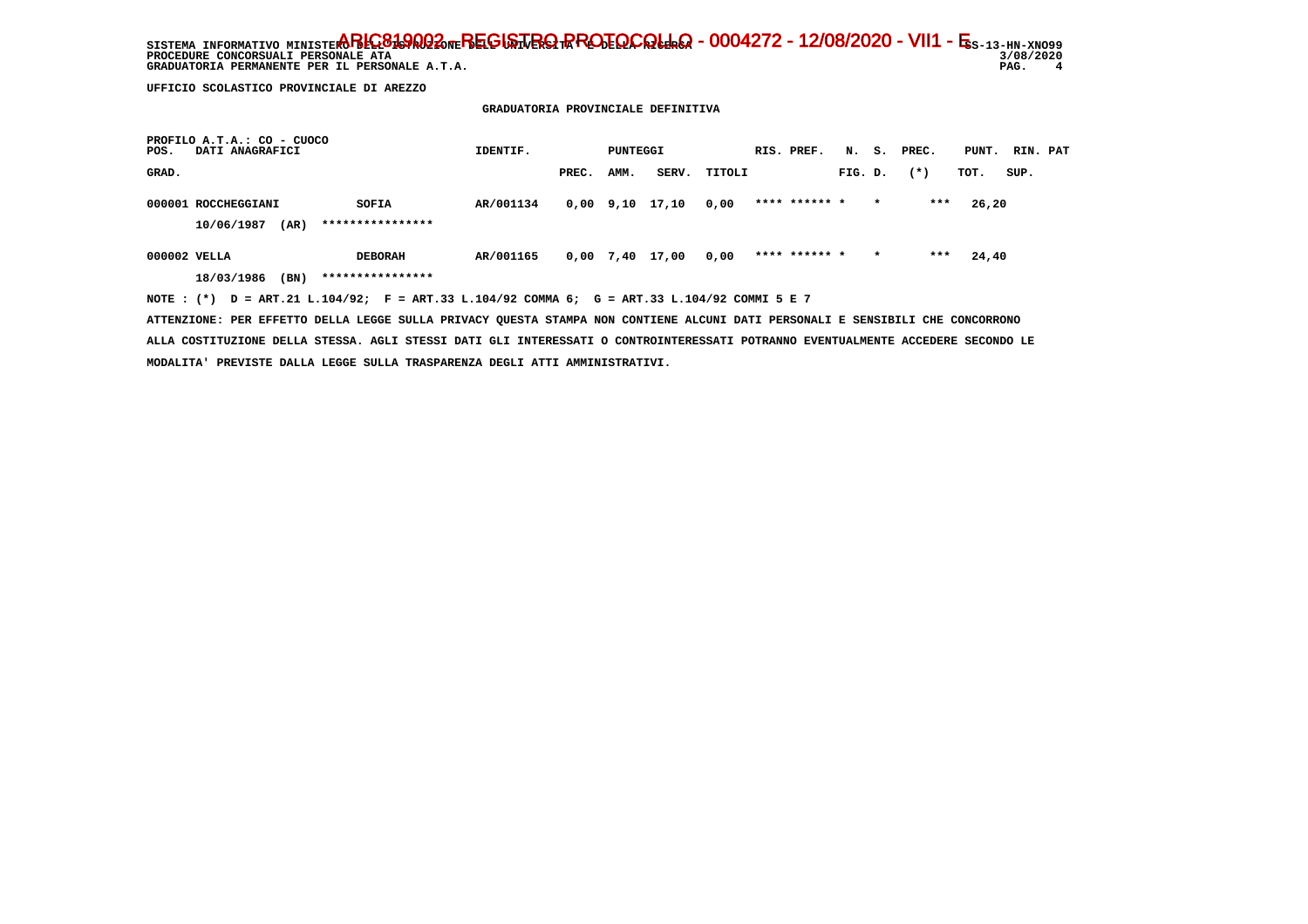SISTEMA INFORMATIVO MINISTERO BELGO DEL BEGISTRO RROTOCOLLO - 0004272 - 12/08/2020 - VII1 - E<sub>S-13-HN-XNO99</sub> 3/08/2020 PROCEDURE CONCORSUALI PERSONALE ATA<br> **BROCEDURE CONCORSUALI PERSONALE ATA** 3/08/<br>
GRADUATORIA PERMANENTE PER IL PERSONALE A.T.A.<br>
PAG.  $\overline{\mathbf{4}}$  **GRADUATORIA PERMANENTE PER IL PERSONALE A.T.A.** 

 **UFFICIO SCOLASTICO PROVINCIALE DI AREZZO**

 **GRADUATORIA PROVINCIALE DEFINITIVA**

| PROFILO A.T.A.: CO - CUOCO<br>DATI ANAGRAFICI<br>POS.                                       | IDENTIF.  |       | PUNTEGGI |                 |        | RIS. PREF.    |         |         | N. S. PREC. | PUNT. RIN. PAT |      |  |
|---------------------------------------------------------------------------------------------|-----------|-------|----------|-----------------|--------|---------------|---------|---------|-------------|----------------|------|--|
| GRAD.                                                                                       |           | PREC. | AMM.     | SERV.           | TITOLI |               | FIG. D. |         | $(*)$       | TOT.           | SUP. |  |
| 000001 ROCCHEGGIANI<br>SOFIA                                                                | AR/001134 |       |          | 0,00 9,10 17,10 | 0,00   | **** ****** * |         | $\star$ | ***         | 26,20          |      |  |
| ****************<br>10/06/1987<br>(AR)                                                      |           |       |          |                 |        |               |         |         |             |                |      |  |
| 000002 VELLA<br><b>DEBORAH</b>                                                              | AR/001165 |       |          | 0,00 7,40 17,00 | 0,00   | **** ****** * |         | $\star$ | ***         | 24,40          |      |  |
| ****************<br>(BN)<br>18/03/1986                                                      |           |       |          |                 |        |               |         |         |             |                |      |  |
| NOTE: (*) D = ART.21 L.104/92; F = ART.33 L.104/92 COMMA 6; G = ART.33 L.104/92 COMMI 5 E 7 |           |       |          |                 |        |               |         |         |             |                |      |  |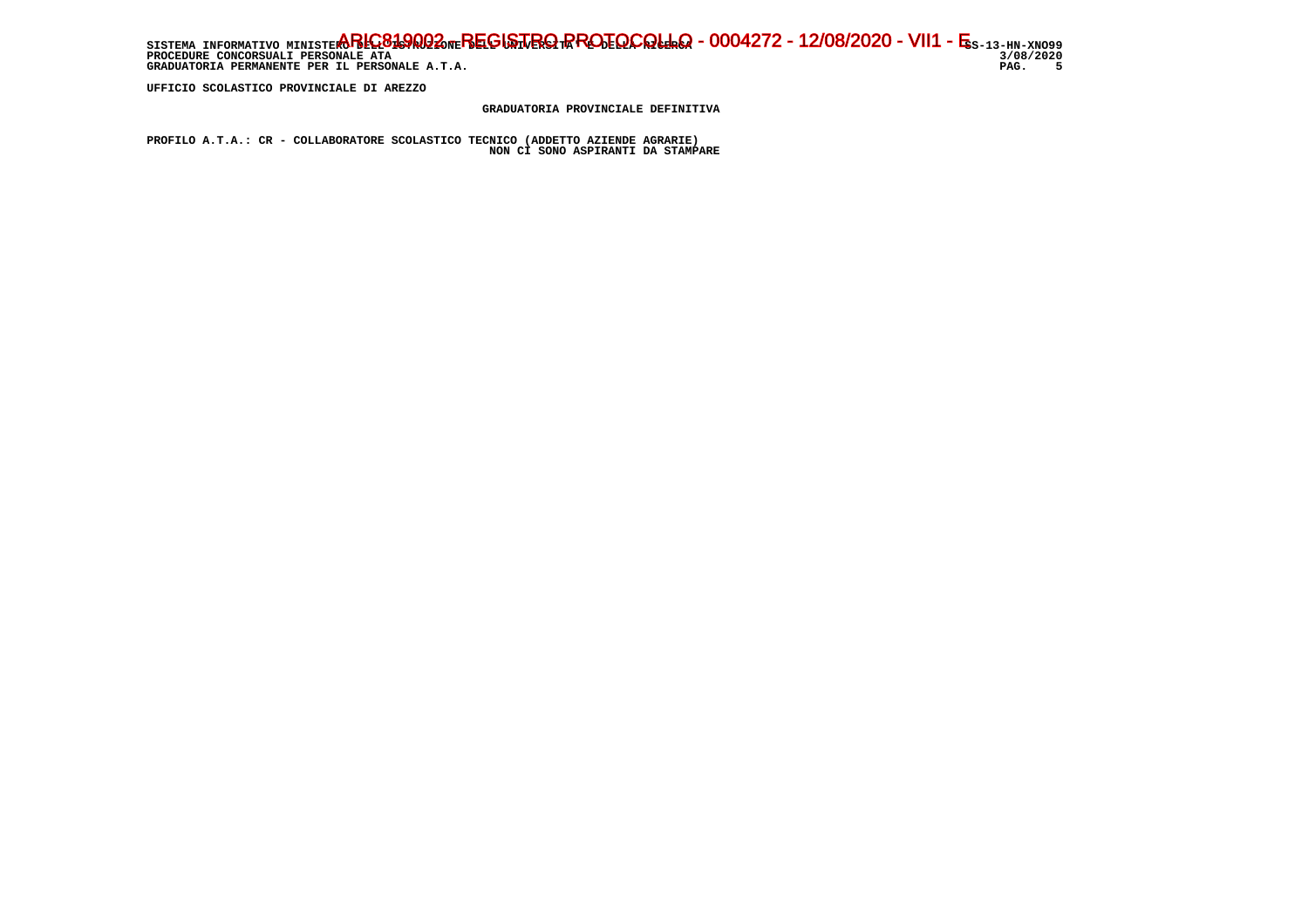SISTEMA INFORMATIVO MINISTERO BELGO DEL BEGISTRO RROTOCOLLO - 0004272 - 12/08/2020 - VII1 - E<sub>S-13-HN-XNO99</sub> 3/08/2020 **PROCEDURE CONCORSUALI PERSONALE ATA** PAG. 5 GRADUATORIA PERMANENTE PER IL PERSONALE A.T.A.

 **UFFICIO SCOLASTICO PROVINCIALE DI AREZZO**

 **GRADUATORIA PROVINCIALE DEFINITIVA**

 **PROFILO A.T.A.: CR - COLLABORATORE SCOLASTICO TECNICO (ADDETTO AZIENDE AGRARIE) NON CI SONO ASPIRANTI DA STAMPARE**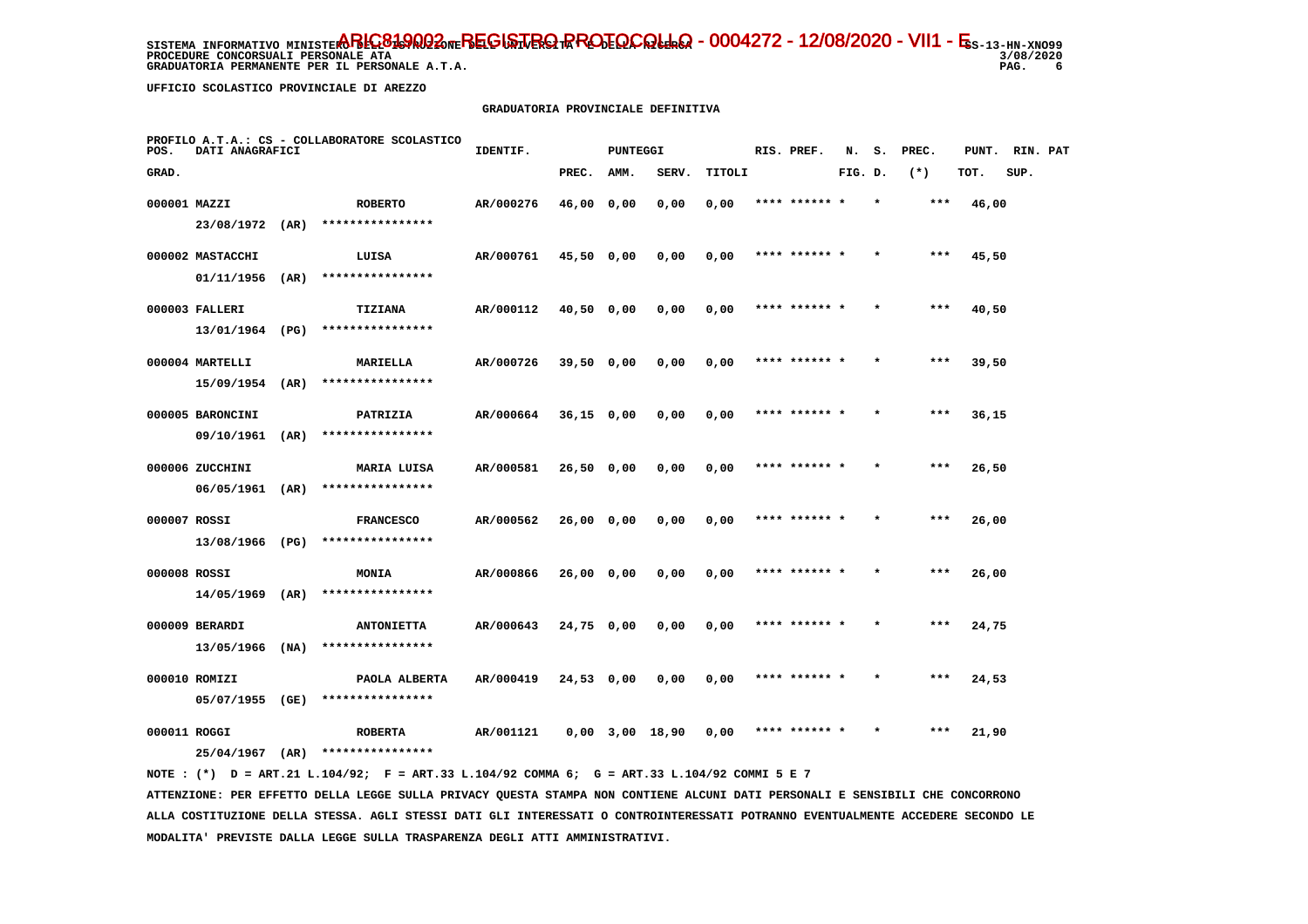**PROCEDURE CONCORSUALI PERSONALE ATA GRADUATORIA PERMANENTE PER IL PERSONALE A.T.A. PAG. 6**

 **UFFICIO SCOLASTICO PROVINCIALE DI AREZZO**

# **GRADUATORIA PROVINCIALE DEFINITIVA**

| POS.         | DATI ANAGRAFICI   |      | PROFILO A.T.A.: CS - COLLABORATORE SCOLASTICO | IDENTIF.  |              | <b>PUNTEGGI</b> |                   |        | RIS. PREF.    | N.      | s.      | PREC.  | PUNT. | RIN. PAT |  |
|--------------|-------------------|------|-----------------------------------------------|-----------|--------------|-----------------|-------------------|--------|---------------|---------|---------|--------|-------|----------|--|
| GRAD.        |                   |      |                                               |           | PREC.        | AMM.            | SERV.             | TITOLI |               | FIG. D. |         | $(* )$ | TOT.  | SUP.     |  |
| 000001 MAZZI |                   |      | <b>ROBERTO</b>                                | AR/000276 | 46,00 0,00   |                 | 0,00              | 0,00   | **** ******   |         |         | $***$  | 46,00 |          |  |
|              | 23/08/1972 (AR)   |      | ****************                              |           |              |                 |                   |        |               |         |         |        |       |          |  |
|              | 000002 MASTACCHI  |      | LUISA                                         | AR/000761 | 45,50 0,00   |                 | 0,00              | 0,00   | **** ****** * |         |         | ***    | 45,50 |          |  |
|              | 01/11/1956        | (AR) | ****************                              |           |              |                 |                   |        |               |         |         |        |       |          |  |
|              | 000003 FALLERI    |      | <b>TIZIANA</b>                                | AR/000112 | 40,50 0,00   |                 | 0,00              | 0,00   | **** ******   |         |         | $***$  | 40,50 |          |  |
|              | 13/01/1964 (PG)   |      | ****************                              |           |              |                 |                   |        |               |         |         |        |       |          |  |
|              | 000004 MARTELLI   |      | MARIELLA                                      | AR/000726 | 39,50 0,00   |                 | 0,00              | 0,00   | **** ****** * |         |         | $***$  | 39,50 |          |  |
|              | 15/09/1954        | (AR) | ****************                              |           |              |                 |                   |        |               |         |         |        |       |          |  |
|              | 000005 BARONCINI  |      | PATRIZIA                                      | AR/000664 | $36,15$ 0,00 |                 | 0,00              | 0,00   | **** ****** * |         |         | $***$  | 36,15 |          |  |
|              | 09/10/1961        | (AR) | ****************                              |           |              |                 |                   |        |               |         |         |        |       |          |  |
|              | 000006 ZUCCHINI   |      | MARIA LUISA                                   | AR/000581 | $26,50$ 0,00 |                 | 0,00              | 0,00   | **** ****** * |         | $\star$ | ***    | 26,50 |          |  |
|              | 06/05/1961 (AR)   |      | ****************                              |           |              |                 |                   |        |               |         |         |        |       |          |  |
|              | 000007 ROSSI      |      | <b>FRANCESCO</b>                              | AR/000562 | 26,00 0,00   |                 | 0,00              | 0,00   |               |         |         | ***    | 26,00 |          |  |
|              | 13/08/1966 (PG)   |      | ****************                              |           |              |                 |                   |        |               |         |         |        |       |          |  |
|              | 000008 ROSSI      |      | <b>MONIA</b>                                  | AR/000866 | $26,00$ 0,00 |                 | 0,00              | 0,00   | **** ****** * |         |         | $***$  | 26,00 |          |  |
|              | $14/05/1969$ (AR) |      | ****************                              |           |              |                 |                   |        |               |         |         |        |       |          |  |
|              | 000009 BERARDI    |      | <b>ANTONIETTA</b>                             | AR/000643 | $24,75$ 0,00 |                 | 0,00              | 0,00   | **** ****** * |         | $\star$ | ***    | 24,75 |          |  |
|              | 13/05/1966        | (NA) | ****************                              |           |              |                 |                   |        |               |         |         |        |       |          |  |
|              | 000010 ROMIZI     |      | PAOLA ALBERTA                                 | AR/000419 | 24,53 0,00   |                 | 0,00              | 0,00   | **** ****** * |         |         | $***$  | 24,53 |          |  |
|              | 05/07/1955 (GE)   |      | ****************                              |           |              |                 |                   |        |               |         |         |        |       |          |  |
|              | 000011 ROGGI      |      | <b>ROBERTA</b>                                | AR/001121 |              |                 | $0,00$ 3,00 18,90 | 0,00   |               |         |         |        | 21,90 |          |  |
|              | 25/04/1967        | (AR) | ****************                              |           |              |                 |                   |        |               |         |         |        |       |          |  |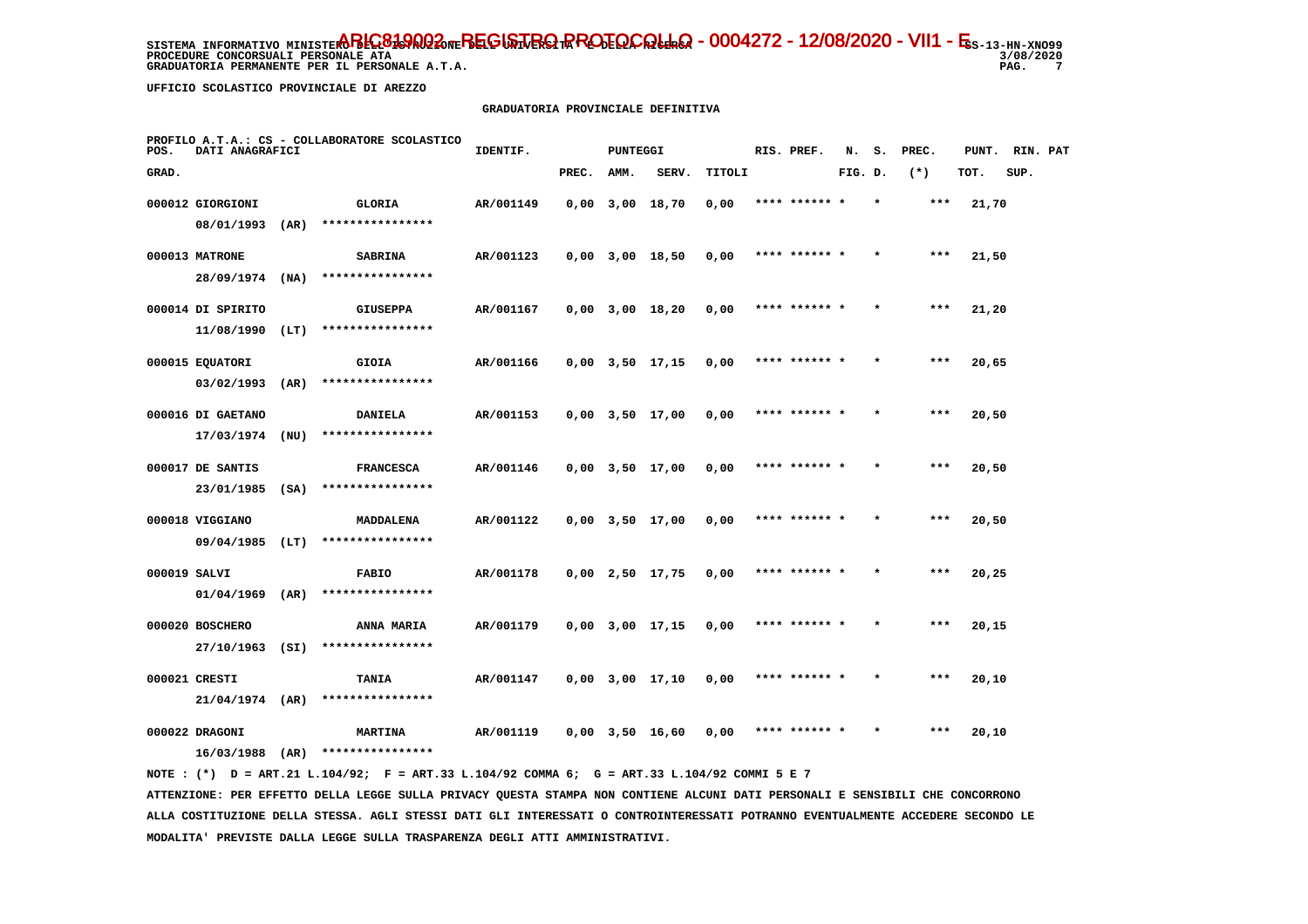**PROCEDURE CONCORSUALI PERSONALE ATA GRADUATORIA PERMANENTE PER IL PERSONALE A.T.A. PAG. 7**

3/08/2020  $\overline{7}$ 

 **UFFICIO SCOLASTICO PROVINCIALE DI AREZZO**

# **GRADUATORIA PROVINCIALE DEFINITIVA**

| POS.  | DATI ANAGRAFICI   |      | PROFILO A.T.A.: CS - COLLABORATORE SCOLASTICO | IDENTIF.  |       | PUNTEGGI |                       |        | RIS. PREF.    | N.      | s.      | PREC. | PUNT. | RIN. PAT |  |
|-------|-------------------|------|-----------------------------------------------|-----------|-------|----------|-----------------------|--------|---------------|---------|---------|-------|-------|----------|--|
| GRAD. |                   |      |                                               |           | PREC. | AMM.     | SERV.                 | TITOLI |               | FIG. D. |         | $(*)$ | TOT.  | SUP.     |  |
|       | 000012 GIORGIONI  |      | GLORIA                                        | AR/001149 |       |          | $0,00$ $3,00$ $18,70$ | 0,00   | **** ****** * |         | $\star$ | ***   | 21,70 |          |  |
|       | 08/01/1993        | (AR) | ****************                              |           |       |          |                       |        |               |         |         |       |       |          |  |
|       | 000013 MATRONE    |      | <b>SABRINA</b>                                | AR/001123 |       |          | $0,00$ $3,00$ $18,50$ | 0,00   | **** ****** * |         |         | $***$ | 21,50 |          |  |
|       | 28/09/1974 (NA)   |      | ****************                              |           |       |          |                       |        |               |         |         |       |       |          |  |
|       | 000014 DI SPIRITO |      | <b>GIUSEPPA</b>                               | AR/001167 |       |          | $0,00$ $3,00$ $18,20$ | 0,00   | **** ****** * |         | $\star$ | ***   | 21,20 |          |  |
|       | 11/08/1990        | (LT) | ****************                              |           |       |          |                       |        |               |         |         |       |       |          |  |
|       | 000015 EQUATORI   |      | <b>GIOIA</b>                                  | AR/001166 |       |          | $0,00$ $3,50$ $17,15$ | 0,00   | **** ****** * |         |         | $***$ | 20,65 |          |  |
|       | $03/02/1993$ (AR) |      | ****************                              |           |       |          |                       |        |               |         |         |       |       |          |  |
|       | 000016 DI GAETANO |      | DANIELA                                       | AR/001153 |       |          | $0,00$ $3,50$ $17,00$ | 0,00   | **** ****** * |         |         | $***$ | 20,50 |          |  |
|       | 17/03/1974        | (NU) | ****************                              |           |       |          |                       |        |               |         |         |       |       |          |  |
|       | 000017 DE SANTIS  |      | <b>FRANCESCA</b>                              | AR/001146 |       |          | $0,00$ $3,50$ $17,00$ | 0,00   | **** ****** * |         |         | $***$ | 20,50 |          |  |
|       | 23/01/1985        | (SA) | ****************                              |           |       |          |                       |        |               |         |         |       |       |          |  |
|       | 000018 VIGGIANO   |      | MADDALENA                                     | AR/001122 |       |          | $0,00$ $3,50$ $17,00$ | 0,00   |               |         |         | $***$ | 20,50 |          |  |
|       | $09/04/1985$ (LT) |      | ****************                              |           |       |          |                       |        |               |         |         |       |       |          |  |
|       | 000019 SALVI      |      | <b>FABIO</b>                                  | AR/001178 |       |          | $0,00$ 2,50 17,75     | 0,00   | **** ****** * |         |         | $***$ | 20,25 |          |  |
|       | 01/04/1969        | (AR) | ****************                              |           |       |          |                       |        |               |         |         |       |       |          |  |
|       | 000020 BOSCHERO   |      | <b>ANNA MARIA</b>                             | AR/001179 |       |          | $0,00$ $3,00$ $17,15$ | 0,00   | **** ****** * |         |         | $***$ | 20,15 |          |  |
|       | 27/10/1963 (SI)   |      | ****************                              |           |       |          |                       |        |               |         |         |       |       |          |  |
|       | 000021 CRESTI     |      | TANIA                                         | AR/001147 |       |          | $0,00$ $3,00$ $17,10$ | 0,00   | **** ****** * |         |         | $***$ | 20,10 |          |  |
|       | $21/04/1974$ (AR) |      | ****************                              |           |       |          |                       |        |               |         |         |       |       |          |  |
|       | 000022 DRAGONI    |      | <b>MARTINA</b>                                | AR/001119 |       |          | 0,00 3,50 16,60       | 0,00   |               |         |         | ***   | 20,10 |          |  |
|       | 16/03/1988        | (AR) | ****************                              |           |       |          |                       |        |               |         |         |       |       |          |  |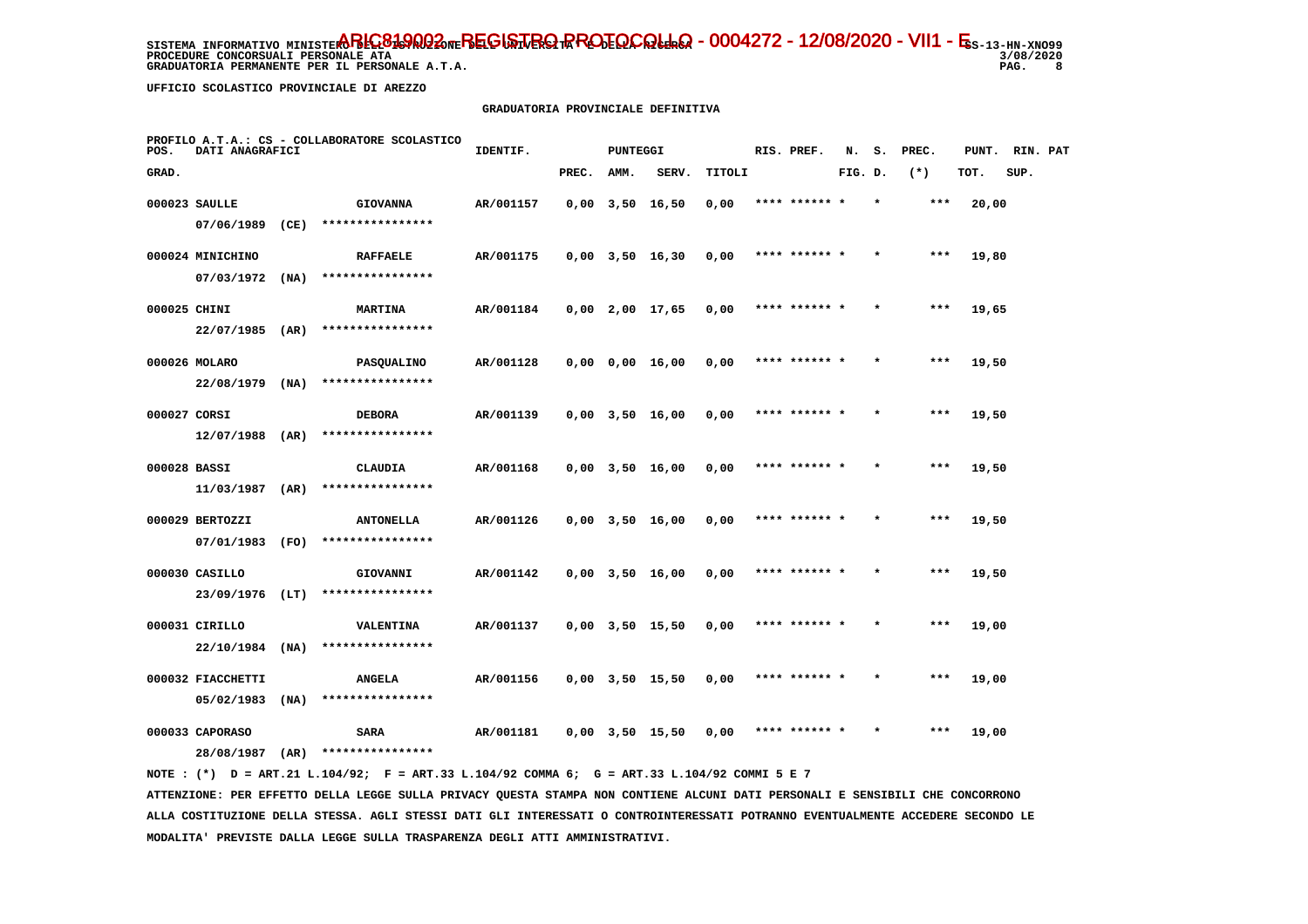**PROCEDURE CONCORSUALI PERSONALE ATA GRADUATORIA PERMANENTE PER IL PERSONALE A.T.A. PAG. 8**

3/08/2020  $\overline{\phantom{a}}$ 8

 **UFFICIO SCOLASTICO PROVINCIALE DI AREZZO**

### **GRADUATORIA PROVINCIALE DEFINITIVA**

| POS.         | DATI ANAGRAFICI   |      | PROFILO A.T.A.: CS - COLLABORATORE SCOLASTICO | IDENTIF.  |       | <b>PUNTEGGI</b> |                       |        | RIS. PREF.    | N.      | s.      | PREC. | PUNT. | RIN. PAT |  |
|--------------|-------------------|------|-----------------------------------------------|-----------|-------|-----------------|-----------------------|--------|---------------|---------|---------|-------|-------|----------|--|
| GRAD.        |                   |      |                                               |           | PREC. | AMM.            | SERV.                 | TITOLI |               | FIG. D. |         | $(*)$ | TOT.  | SUP.     |  |
|              | 000023 SAULLE     |      | <b>GIOVANNA</b>                               | AR/001157 |       |                 | $0,00$ 3,50 16,50     | 0,00   | **** ****** * |         | $\star$ | $***$ | 20,00 |          |  |
|              | 07/06/1989        | (CE) | ****************                              |           |       |                 |                       |        |               |         |         |       |       |          |  |
|              | 000024 MINICHINO  |      | <b>RAFFAELE</b>                               | AR/001175 |       |                 | $0,00$ $3,50$ $16,30$ | 0,00   | **** ****** * |         |         | ***   | 19,80 |          |  |
|              | 07/03/1972        | (NA) | ****************                              |           |       |                 |                       |        |               |         |         |       |       |          |  |
| 000025 CHINI |                   |      | <b>MARTINA</b>                                | AR/001184 |       |                 | $0,00$ 2,00 17,65     | 0,00   | **** ****** * |         |         | $***$ | 19,65 |          |  |
|              | 22/07/1985        | (AR) | ****************                              |           |       |                 |                       |        |               |         |         |       |       |          |  |
|              | 000026 MOLARO     |      | PASQUALINO                                    | AR/001128 |       |                 | $0,00$ $0,00$ $16,00$ | 0,00   | **** ****** * |         |         | $***$ | 19,50 |          |  |
|              | 22/08/1979        | (NA) | ****************                              |           |       |                 |                       |        |               |         |         |       |       |          |  |
| 000027 CORSI |                   |      | <b>DEBORA</b>                                 | AR/001139 |       |                 | $0,00$ $3,50$ $16,00$ | 0,00   | **** ****** * |         |         | $***$ | 19,50 |          |  |
|              | 12/07/1988        | (AR) | ****************                              |           |       |                 |                       |        |               |         |         |       |       |          |  |
| 000028 BASSI |                   |      | CLAUDIA                                       | AR/001168 |       |                 | $0,00$ $3,50$ $16,00$ | 0,00   | **** ****** * |         |         | ***   | 19,50 |          |  |
|              | 11/03/1987        | (AR) | ****************                              |           |       |                 |                       |        |               |         |         |       |       |          |  |
|              | 000029 BERTOZZI   |      | <b>ANTONELLA</b>                              | AR/001126 |       |                 | $0,00$ $3,50$ $16,00$ | 0,00   | **** ******   |         |         | ***   | 19,50 |          |  |
|              | 07/01/1983 (FO)   |      | ****************                              |           |       |                 |                       |        |               |         |         |       |       |          |  |
|              | 000030 CASILLO    |      | GIOVANNI                                      | AR/001142 |       |                 | $0,00$ $3,50$ $16,00$ | 0,00   | **** ****** * |         |         | $***$ | 19,50 |          |  |
|              | 23/09/1976        | (LT) | ****************                              |           |       |                 |                       |        |               |         |         |       |       |          |  |
|              | 000031 CIRILLO    |      | VALENTINA                                     | AR/001137 |       |                 | $0,00$ $3,50$ $15,50$ | 0,00   | **** ****** * |         | $\star$ | $***$ | 19,00 |          |  |
|              | 22/10/1984        | (NA) | ****************                              |           |       |                 |                       |        |               |         |         |       |       |          |  |
|              | 000032 FIACCHETTI |      | <b>ANGELA</b><br>****************             | AR/001156 |       |                 | $0,00$ $3,50$ $15,50$ | 0,00   | **** ****** * |         |         | ***   | 19,00 |          |  |
|              | 05/02/1983        | (NA) |                                               |           |       |                 |                       |        |               |         |         |       |       |          |  |
|              | 000033 CAPORASO   |      | <b>SARA</b>                                   | AR/001181 |       |                 | $0,00$ $3,50$ $15,50$ | 0.00   | **** ****** * |         |         | ***   | 19,00 |          |  |
|              | 28/08/1987        | (AR) | ****************                              |           |       |                 |                       |        |               |         |         |       |       |          |  |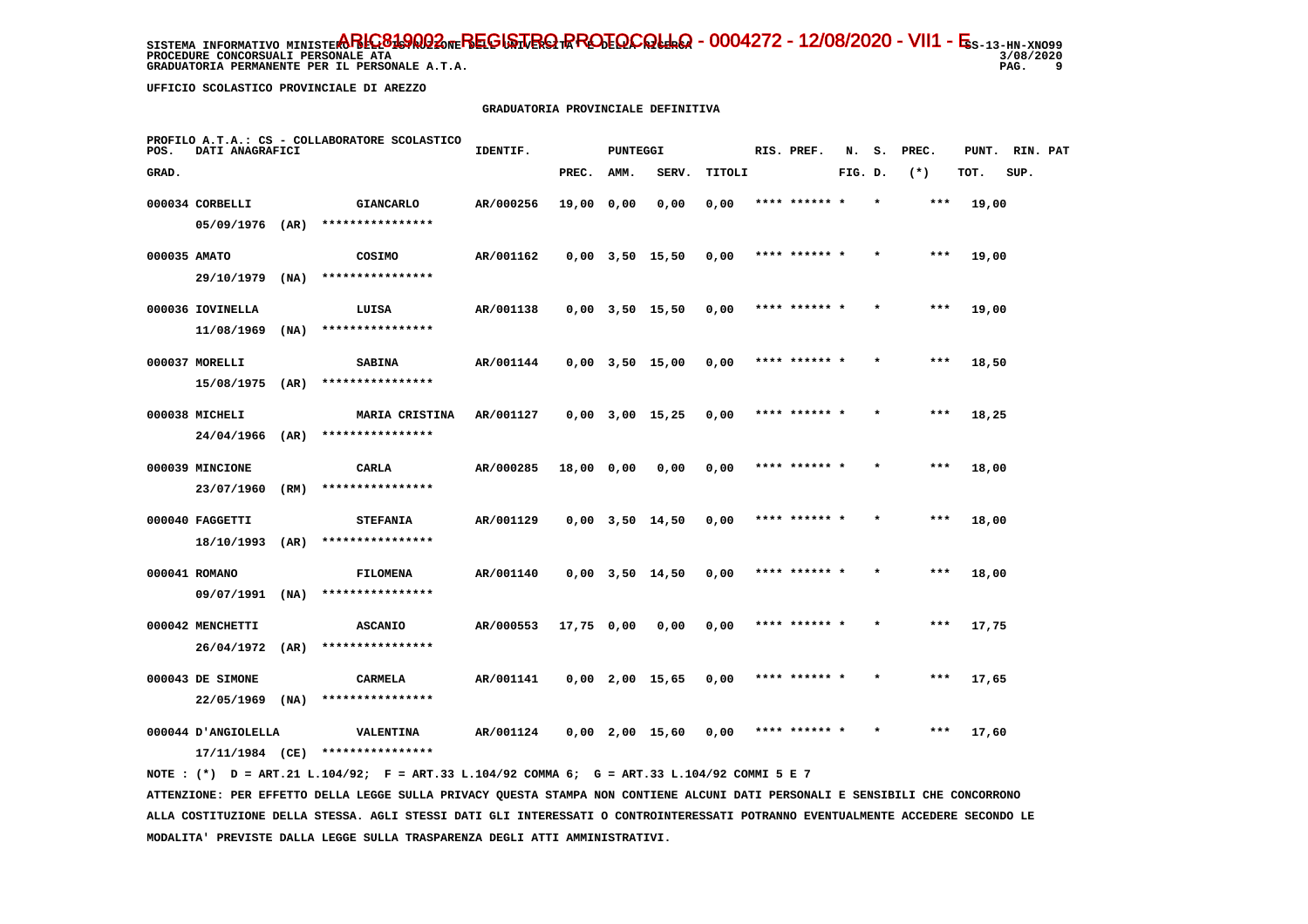**PROCEDURE CONCORSUALI PERSONALE ATA GRADUATORIA PERMANENTE PER IL PERSONALE A.T.A. PAG. 9**

3/08/2020 و ۔

 **UFFICIO SCOLASTICO PROVINCIALE DI AREZZO**

### **GRADUATORIA PROVINCIALE DEFINITIVA**

| POS.         | DATI ANAGRAFICI     |      | PROFILO A.T.A.: CS - COLLABORATORE SCOLASTICO | IDENTIF.  |            | <b>PUNTEGGI</b> |                       |        | RIS. PREF.    | N.      | s. | PREC. | PUNT. | RIN. PAT |  |
|--------------|---------------------|------|-----------------------------------------------|-----------|------------|-----------------|-----------------------|--------|---------------|---------|----|-------|-------|----------|--|
| GRAD.        |                     |      |                                               |           | PREC.      | AMM.            | SERV.                 | TITOLI |               | FIG. D. |    | $(*)$ | TOT.  | SUP.     |  |
|              | 000034 CORBELLI     |      | <b>GIANCARLO</b>                              | AR/000256 | 19,00 0,00 |                 | 0,00                  | 0,00   | **** ****** * |         |    | ***   | 19,00 |          |  |
|              | 05/09/1976          | (AR) | ****************                              |           |            |                 |                       |        |               |         |    |       |       |          |  |
| 000035 AMATO |                     |      | COSIMO                                        | AR/001162 |            |                 | $0,00$ $3,50$ $15,50$ | 0,00   | **** ****** * |         |    | ***   | 19,00 |          |  |
|              | 29/10/1979          | (NA) | ****************                              |           |            |                 |                       |        |               |         |    |       |       |          |  |
|              | 000036 IOVINELLA    |      | LUISA                                         | AR/001138 |            |                 | $0,00$ $3,50$ $15,50$ | 0,00   | **** ****** * |         |    | $***$ | 19,00 |          |  |
|              | 11/08/1969          | (MA) | ****************                              |           |            |                 |                       |        |               |         |    |       |       |          |  |
|              | 000037 MORELLI      |      | <b>SABINA</b>                                 | AR/001144 |            |                 | $0,00$ $3,50$ $15,00$ | 0,00   | **** ****** * |         |    | ***   | 18,50 |          |  |
|              | 15/08/1975          | (AR) | ****************                              |           |            |                 |                       |        |               |         |    |       |       |          |  |
|              | 000038 MICHELI      |      | <b>MARIA CRISTINA</b>                         | AR/001127 |            |                 | $0,00$ $3,00$ $15,25$ | 0,00   | **** ****** * |         |    | ***   | 18,25 |          |  |
|              | 24/04/1966          | (AR) | ****************                              |           |            |                 |                       |        |               |         |    |       |       |          |  |
|              | 000039 MINCIONE     |      | CARLA                                         | AR/000285 | 18,00 0,00 |                 | 0,00                  | 0,00   | **** ****** * |         |    | $***$ | 18,00 |          |  |
|              | 23/07/1960          | (RM) | ****************                              |           |            |                 |                       |        |               |         |    |       |       |          |  |
|              | 000040 FAGGETTI     |      | <b>STEFANIA</b>                               | AR/001129 |            |                 | $0,00$ $3,50$ $14,50$ | 0,00   | **** ****** * |         |    | $***$ | 18,00 |          |  |
|              | 18/10/1993          | (AR) | ****************                              |           |            |                 |                       |        |               |         |    |       |       |          |  |
|              | 000041 ROMANO       |      | <b>FILOMENA</b>                               | AR/001140 |            |                 | $0,00$ $3,50$ $14,50$ | 0,00   | **** ****** * |         |    | $***$ | 18,00 |          |  |
|              | 09/07/1991          | (NA) | ****************                              |           |            |                 |                       |        |               |         |    |       |       |          |  |
|              | 000042 MENCHETTI    |      | <b>ASCANIO</b>                                | AR/000553 | 17,75 0,00 |                 | 0,00                  | 0,00   | **** ****** * |         |    | $***$ | 17,75 |          |  |
|              | 26/04/1972          | (AR) | ****************                              |           |            |                 |                       |        |               |         |    |       |       |          |  |
|              | 000043 DE SIMONE    |      | CARMELA                                       | AR/001141 |            |                 | $0,00$ 2,00 15,65     | 0,00   | **** ****** * |         |    | ***   | 17,65 |          |  |
|              | 22/05/1969          | (NA) | ****************                              |           |            |                 |                       |        |               |         |    |       |       |          |  |
|              | 000044 D'ANGIOLELLA |      | <b>VALENTINA</b>                              | AR/001124 |            |                 | $0,00$ 2,00 15,60     | 0,00   | **** ****** * |         |    | ***   | 17,60 |          |  |
|              | 17/11/1984 (CE)     |      | ****************                              |           |            |                 |                       |        |               |         |    |       |       |          |  |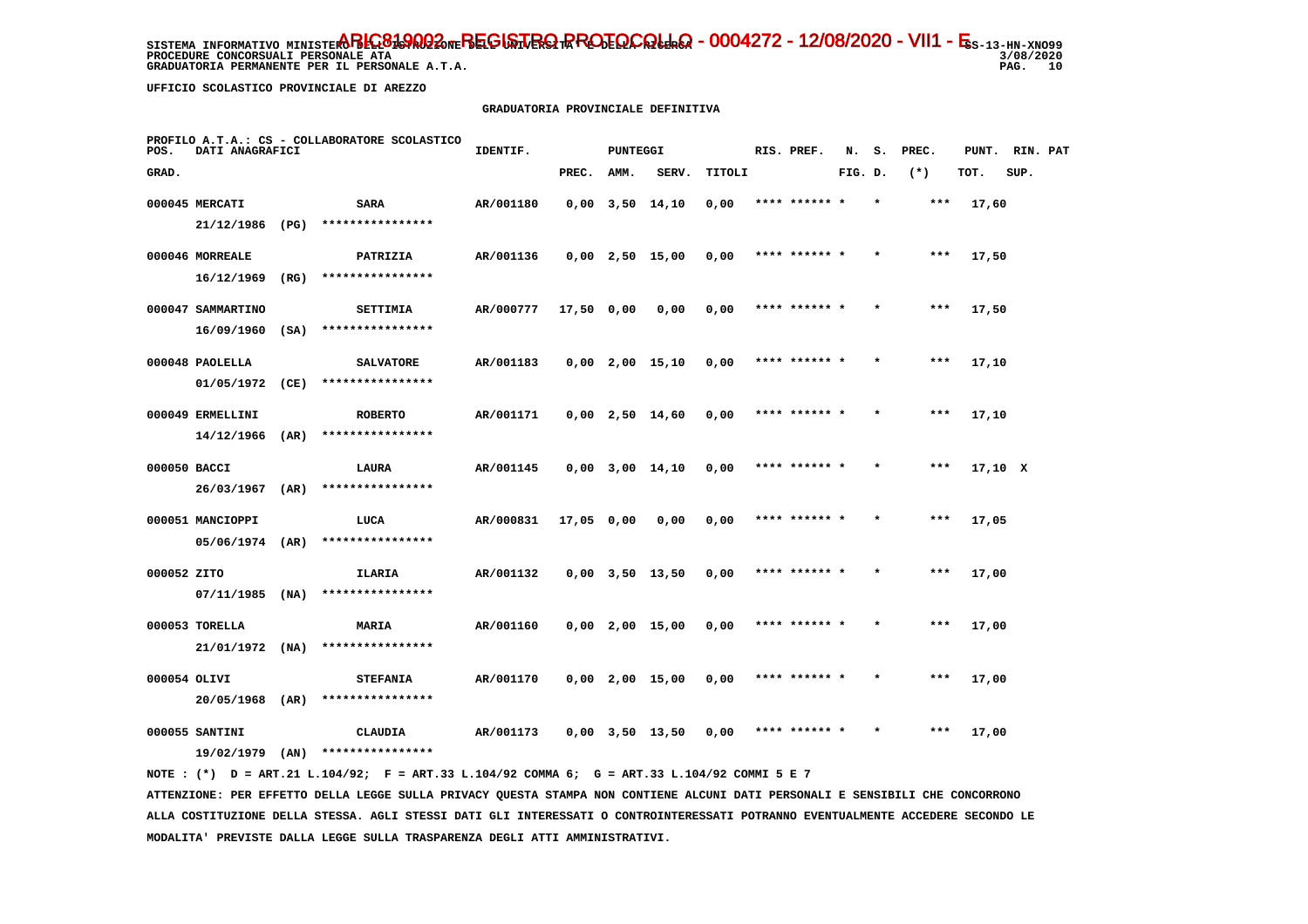**PROCEDURE CONCORSUALI PERSONALE ATA GRADUATORIA PERMANENTE PER IL PERSONALE A.T.A.**  3/08/2020 PAG. 10

 **UFFICIO SCOLASTICO PROVINCIALE DI AREZZO**

# **GRADUATORIA PROVINCIALE DEFINITIVA**

| POS.        | DATI ANAGRAFICI   |      | PROFILO A.T.A.: CS - COLLABORATORE SCOLASTICO | IDENTIF.  |            | PUNTEGGI |                       |        | RIS. PREF.    | N.      | s.      | PREC. | PUNT.   | RIN. PAT |  |
|-------------|-------------------|------|-----------------------------------------------|-----------|------------|----------|-----------------------|--------|---------------|---------|---------|-------|---------|----------|--|
| GRAD.       |                   |      |                                               |           | PREC.      | AMM.     | SERV.                 | TITOLI |               | FIG. D. |         | $(*)$ | TOT.    | SUP.     |  |
|             | 000045 MERCATI    |      | SARA                                          | AR/001180 |            |          | $0,00$ $3,50$ $14,10$ | 0,00   | **** ****** * |         |         | ***   | 17,60   |          |  |
|             | 21/12/1986 (PG)   |      | ****************                              |           |            |          |                       |        |               |         |         |       |         |          |  |
|             | 000046 MORREALE   |      | PATRIZIA                                      | AR/001136 |            |          | $0,00$ 2,50 15,00     | 0,00   | **** ****** * |         |         | $***$ | 17,50   |          |  |
|             | 16/12/1969        | (RG) | ****************                              |           |            |          |                       |        |               |         |         |       |         |          |  |
|             | 000047 SAMMARTINO |      | SETTIMIA                                      | AR/000777 | 17,50 0,00 |          | 0,00                  | 0,00   | **** ****** * |         |         | ***   | 17,50   |          |  |
|             | 16/09/1960        | (SA) | ****************                              |           |            |          |                       |        |               |         |         |       |         |          |  |
|             | 000048 PAOLELLA   |      | <b>SALVATORE</b>                              | AR/001183 |            |          | $0,00$ 2,00 15,10     | 0,00   | **** ****** * |         |         | $***$ | 17,10   |          |  |
|             | 01/05/1972        | (CE) | ****************                              |           |            |          |                       |        |               |         |         |       |         |          |  |
|             | 000049 ERMELLINI  |      | <b>ROBERTO</b>                                | AR/001171 |            |          | $0,00$ 2,50 14,60     | 0,00   | **** ****** * |         |         | $***$ | 17,10   |          |  |
|             | 14/12/1966        | (AR) | ****************                              |           |            |          |                       |        |               |         |         |       |         |          |  |
|             | 000050 BACCI      |      | LAURA                                         | AR/001145 |            |          | $0,00$ $3,00$ $14,10$ | 0,00   | **** ****** * |         |         | ***   | 17,10 X |          |  |
|             | 26/03/1967        | (AR) | ****************                              |           |            |          |                       |        |               |         |         |       |         |          |  |
|             | 000051 MANCIOPPI  |      | LUCA                                          | AR/000831 | 17,05 0,00 |          | 0,00                  | 0,00   | **** ******   |         |         | ***   | 17,05   |          |  |
|             | 05/06/1974        | (AR) | ****************                              |           |            |          |                       |        |               |         |         |       |         |          |  |
| 000052 ZITO |                   |      | ILARIA                                        | AR/001132 |            |          | $0,00$ $3,50$ $13,50$ | 0,00   | **** ****** * |         |         | $***$ | 17,00   |          |  |
|             | 07/11/1985        | (NA) | ****************                              |           |            |          |                       |        |               |         |         |       |         |          |  |
|             | 000053 TORELLA    |      | <b>MARIA</b>                                  | AR/001160 |            |          | $0,00$ 2,00 15,00     | 0,00   | **** ****** * |         | $\star$ | ***   | 17,00   |          |  |
|             | 21/01/1972        | (NA) | ****************                              |           |            |          |                       |        |               |         |         |       |         |          |  |
|             | 000054 OLIVI      |      | <b>STEFANIA</b>                               | AR/001170 |            |          | $0,00$ 2,00 15,00     | 0,00   | **** ****** * |         |         | $***$ | 17,00   |          |  |
|             | 20/05/1968 (AR)   |      | ****************                              |           |            |          |                       |        |               |         |         |       |         |          |  |
|             | 000055 SANTINI    |      | <b>CLAUDIA</b>                                | AR/001173 |            |          | $0.00$ $3.50$ $13.50$ | 0.00   | **** ****** * |         |         | $***$ | 17,00   |          |  |
|             | 19/02/1979        | (AN) | ****************                              |           |            |          |                       |        |               |         |         |       |         |          |  |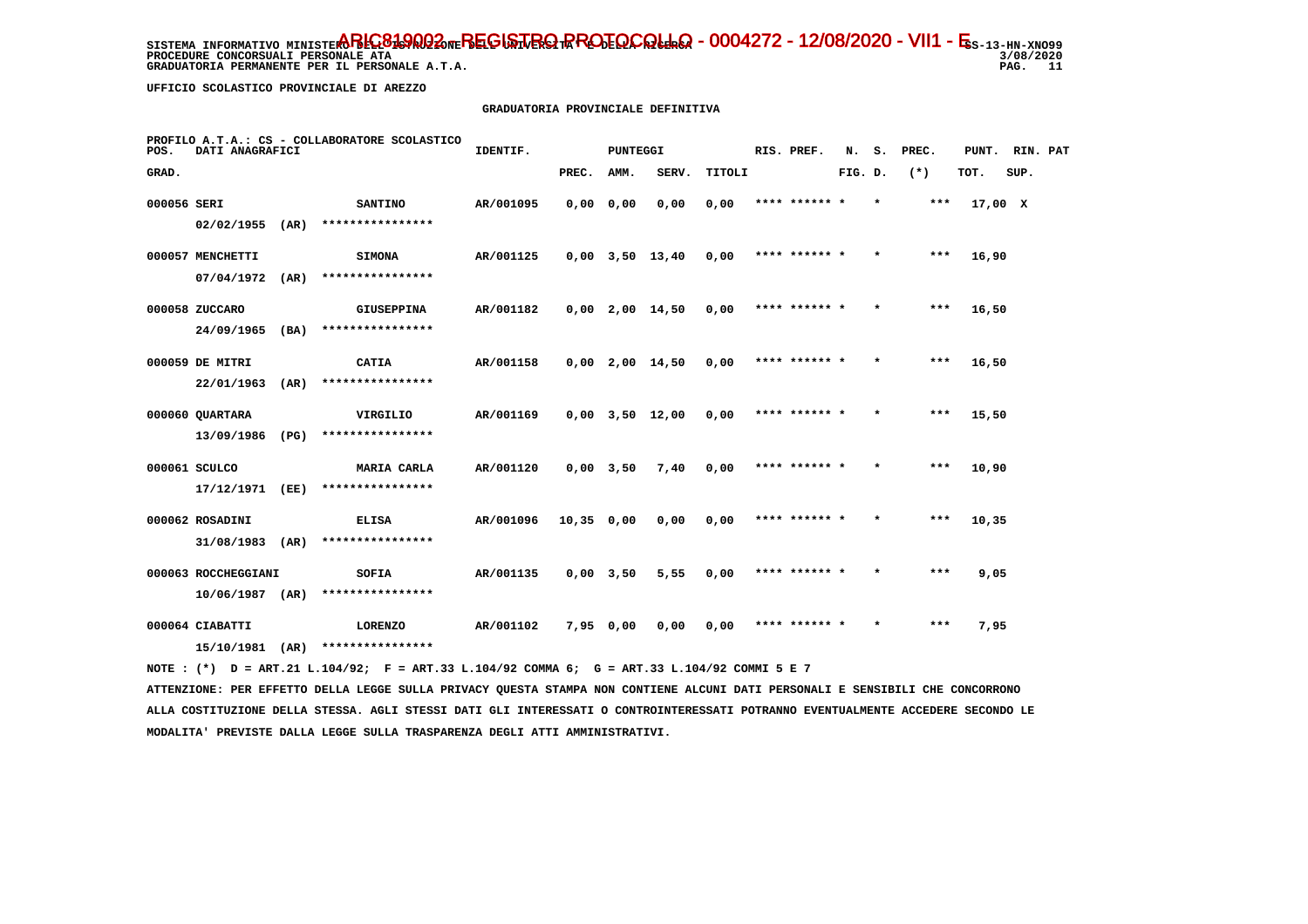**PROCEDURE CONCORSUALI PERSONALE ATA GRADUATORIA PERMANENTE PER IL PERSONALE A.T.A.**  3/08/2020 PAG. 11

 **UFFICIO SCOLASTICO PROVINCIALE DI AREZZO**

# **GRADUATORIA PROVINCIALE DEFINITIVA**

| POS.        | DATI ANAGRAFICI                      |      | PROFILO A.T.A.: CS - COLLABORATORE SCOLASTICO | IDENTIF.<br><b>PUNTEGGI</b> |             |             |                   |        |  | RIS. PREF.    | N.      | s.      | PREC. | PUNT. RIN. PAT |      |  |
|-------------|--------------------------------------|------|-----------------------------------------------|-----------------------------|-------------|-------------|-------------------|--------|--|---------------|---------|---------|-------|----------------|------|--|
| GRAD.       |                                      |      |                                               |                             | PREC.       | AMM.        | SERV.             | TITOLI |  |               | FIG. D. |         | $(*)$ | TOT.           | SUP. |  |
| 000056 SERI | 02/02/1955                           | (AR) | <b>SANTINO</b><br>****************            | AR/001095                   | $0,00$ 0,00 |             | 0,00              | 0,00   |  | **** ****** * |         | $\star$ | $***$ | 17,00 X        |      |  |
|             | 000057 MENCHETTI<br>07/04/1972       | (AR) | <b>SIMONA</b><br>****************             | AR/001125                   |             |             | $0,00$ 3,50 13,40 | 0,00   |  | **** ****** * |         | $\star$ | ***   | 16,90          |      |  |
|             | 000058 ZUCCARO<br>$24/09/1965$ (BA)  |      | <b>GIUSEPPINA</b><br>****************         | AR/001182                   |             |             | 0,00 2,00 14,50   | 0,00   |  | **** ****** * |         | $\star$ | ***   | 16,50          |      |  |
|             | 000059 DE MITRI<br>22/01/1963        | (AR) | CATIA<br>****************                     | AR/001158                   |             |             | 0,00 2,00 14,50   | 0,00   |  | **** ****** * |         | $\star$ | ***   | 16,50          |      |  |
|             | 000060 QUARTARA                      |      | VIRGILIO<br>****************                  | AR/001169                   |             |             | 0,00 3,50 12,00   | 0,00   |  | **** ****** * |         | $\star$ | ***   | 15,50          |      |  |
|             | 13/09/1986<br>000061 SCULCO          | (PG) | MARIA CARLA                                   | AR/001120                   |             | $0,00$ 3,50 | 7,40              | 0,00   |  | **** ****** * |         |         | ***   | 10,90          |      |  |
|             | 17/12/1971 (EE)<br>000062 ROSADINI   |      | ****************<br><b>ELISA</b>              | AR/001096                   | 10,35 0,00  |             | 0,00              | 0,00   |  | **** ****** * |         | $\star$ | ***   | 10,35          |      |  |
|             | 31/08/1983<br>000063 ROCCHEGGIANI    | (AR) | ****************<br>SOFIA                     | AR/001135                   |             | $0,00$ 3,50 | 5,55              | 0,00   |  | **** ****** * |         | $\star$ | ***   | 9,05           |      |  |
|             | $10/06/1987$ (AR)<br>000064 CIABATTI |      | ****************<br><b>LORENZO</b>            | AR/001102                   | 7,95 0,00   |             | 0,00              | 0,00   |  | **** ****** * |         |         | $***$ | 7,95           |      |  |
|             | 15/10/1981                           | (AR) | ****************                              |                             |             |             |                   |        |  |               |         |         |       |                |      |  |

 **NOTE : (\*) D = ART.21 L.104/92; F = ART.33 L.104/92 COMMA 6; G = ART.33 L.104/92 COMMI 5 E 7**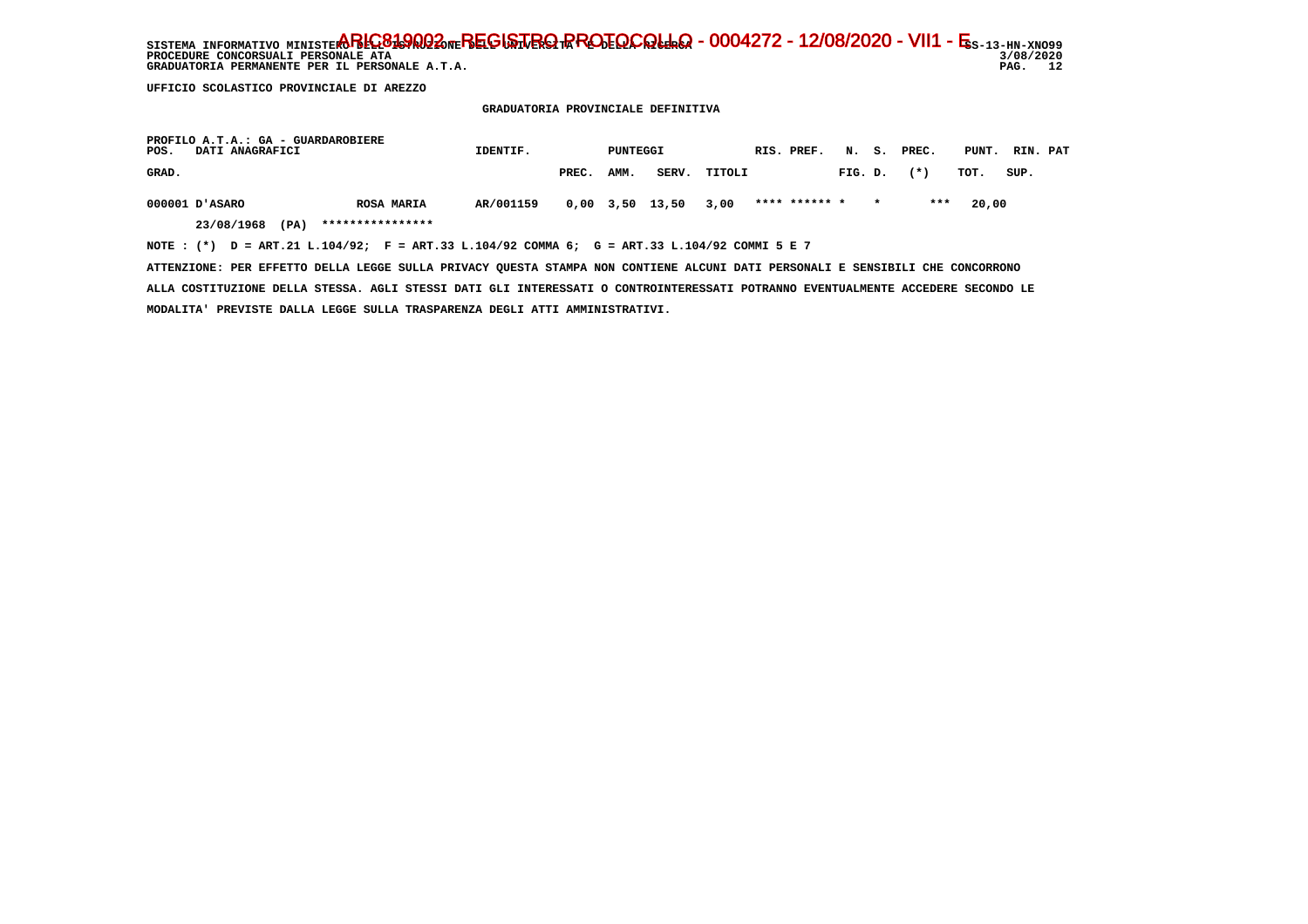SISTEMA INFORMATIVO MINISTERO BELGO DEL BEGISTRO RROTOCOLLO - 0004272 - 12/08/2020 - VII1 - E<sub>S-13-HN-XNO99</sub> **PROCEDURE CONCORSUALI PERSONALE ATA** GRADUATORIA PERMANENTE PER IL PERSONALE A.T.A.

 **UFFICIO SCOLASTICO PROVINCIALE DI AREZZO**

 **GRADUATORIA PROVINCIALE DEFINITIVA**

| PROFILO A.T.A.: GA - GUARDAROBIERE<br>POS.<br>DATI ANAGRAFICI                                  | IDENTIF.  |       | PUNTEGGI |                 |        | RIS. PREF.    |         |         | N. S. PREC. | PUNT. | RIN. PAT |  |
|------------------------------------------------------------------------------------------------|-----------|-------|----------|-----------------|--------|---------------|---------|---------|-------------|-------|----------|--|
| GRAD.                                                                                          |           | PREC. | AMM.     | SERV.           | TITOLI |               | FIG. D. |         | $(* )$      | TOT.  | SUP.     |  |
| 000001 D'ASARO<br><b>ROSA MARIA</b>                                                            | AR/001159 |       |          | 0,00 3,50 13,50 | 3,00   | **** ****** * |         | $\star$ | ***         | 20,00 |          |  |
| ****************<br>23/08/1968<br>(PA)                                                         |           |       |          |                 |        |               |         |         |             |       |          |  |
| NOTE : $(*)$ D = ART.21 L.104/92; F = ART.33 L.104/92 COMMA 6; G = ART.33 L.104/92 COMMI 5 E 7 |           |       |          |                 |        |               |         |         |             |       |          |  |